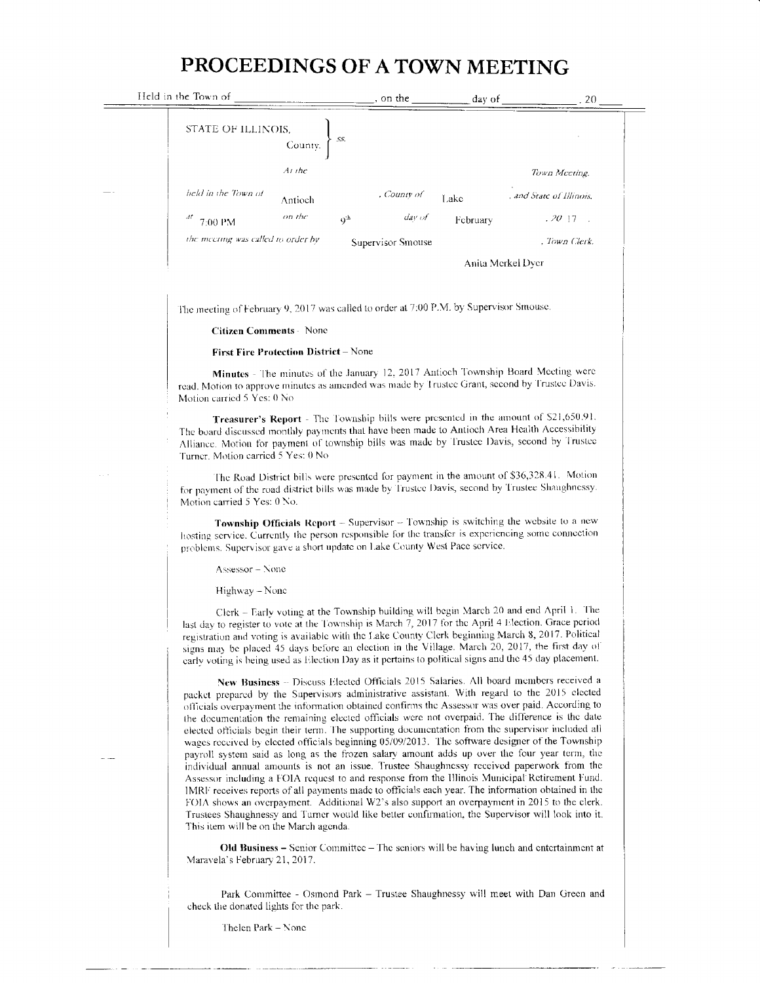## PROCEEDINGS OF A TOWN MEETING

| Held in the Town of                |             | on the            | day of   | . 20                     |
|------------------------------------|-------------|-------------------|----------|--------------------------|
| STATE OF ILLINOIS,<br>County.      | SS.         |                   |          |                          |
| At the                             |             |                   |          | Town Meeting.            |
| held in the Town of<br>Antioch     |             | , County of       | Lake     | , and State of Illinois. |
| on the<br>Лt<br>7:00 PM            | $Q_{\rm p}$ | day of            | February | .2017<br>$\sim$          |
| the meeting was called to order by |             | Supervisor Smouse |          | . Town Clerk.            |
|                                    |             |                   |          | Anita Merkel Dver        |

The meeting of February 9, 2017 was called to order at 7:00 P.M. by Supervisor Smouse

## **Citizen Comments - None**

## First Fire Protection District - None

Minutes - The minutes of the January 12, 2017 Antioch Township Board Meeting were read. Motion to approve minutes as amended was made by Trustee Grant, second by Trustee Davis. Motion carried 5 Yes: 0 No

Treasurer's Report - The Township bills were presented in the amount of \$21,650.91. The board discussed monthly payments that have been made to Antioch Area Health Accessibility Alliance. Motion for payment of township bills was made by Trustee Davis, second by Trustee Turner. Motion carried 5 Yes: 0 No

The Road District bills were presented for payment in the amount of \$36,328.41. Motion for payment of the road district bills was made by Trustee Davis, second by Trustee Shaughnessy. Motion carried 5 Yes: 0 No.

Township Officials Report - Supervisor - Township is switching the website to a new hosting service. Currently the person responsible for the transfer is experiencing some connection problems. Supervisor gave a short update on Lake County West Pace service.

Assessor - None

Highway - None

Clerk - Early voting at the Township building will begin March 20 and end April 1. The last day to register to vote at the Township is March 7, 2017 for the April 4 Election. Grace period registration and voting is available with the Lake County Clerk beginning March 8, 2017. Political signs may be placed 45 days before an election in the Village. March 20, 2017, the first day of early voting is being used as Election Day as it pertains to political signs and the 45 day placement.

New Business - Discuss Elected Officials 2015 Salaries. All board members received a packet prepared by the Supervisors administrative assistant. With regard to the 2015 elected officials overpayment the information obtained confirms the Assessor was over paid. According to the documentation the remaining elected officials were not overpaid. The difference is the date elected officials begin their term. The supporting documentation from the supervisor included all wages received by elected officials beginning 05/09/2013. The software designer of the Township payroll system said as long as the frozen salary amount adds up over the four year term, the individual annual amounts is not an issue. Trustee Shaughnessy received paperwork from the Assessor including a FOIA request to and response from the Illinois Municipal Retirement Fund. IMRF receives reports of all payments made to officials each year. The information obtained in the FOIA shows an overpayment. Additional W2's also support an overpayment in 2015 to the clerk. Trustees Shaughnessy and Turner would like better confirmation, the Supervisor will look into it. This item will be on the March agenda.

Old Business - Senior Committee - The seniors will be having lunch and entertainment at Maravela's February 21, 2017.

Park Committee - Osmond Park - Trustee Shaughnessy will meet with Dan Green and check the donated lights for the park.

Thelen Park - None